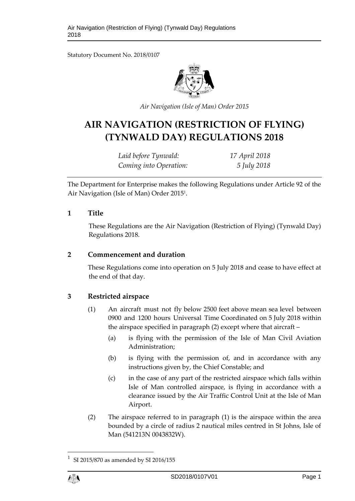Statutory Document No. 2018/0107



*Air Navigation (Isle of Man) Order 2015*

# **AIR NAVIGATION (RESTRICTION OF FLYING) (TYNWALD DAY) REGULATIONS 2018**

| Laid before Tynwald:   | 17 April 2018 |
|------------------------|---------------|
| Coming into Operation: | 5 July 2018   |

The Department for Enterprise makes the following Regulations under Article 92 of the Air Navigation (Isle of Man) Order 2015<sup>1</sup> .

#### **1 Title**

These Regulations are the Air Navigation (Restriction of Flying) (Tynwald Day) Regulations 2018.

## **2 Commencement and duration**

These Regulations come into operation on 5 July 2018 and cease to have effect at the end of that day.

# **3 Restricted airspace**

- (1) An aircraft must not fly below 2500 feet above mean sea level between 0900 and 1200 hours Universal Time Coordinated on 5 July 2018 within the airspace specified in paragraph (2) except where that aircraft –
	- (a) is flying with the permission of the Isle of Man Civil Aviation Administration;
	- (b) is flying with the permission of, and in accordance with any instructions given by, the Chief Constable; and
	- (c) in the case of any part of the restricted airspace which falls within Isle of Man controlled airspace, is flying in accordance with a clearance issued by the Air Traffic Control Unit at the Isle of Man Airport.
- (2) The airspace referred to in paragraph (1) is the airspace within the area bounded by a circle of radius 2 nautical miles centred in St Johns, Isle of Man (541213N 0043832W).

1 1

SI 2015/870 as amended by SI 2016/155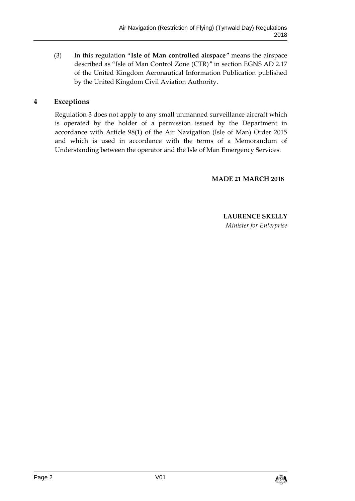(3) In this regulation "**Isle of Man controlled airspace**" means the airspace described as "Isle of Man Control Zone (CTR)" in section EGNS AD 2.17 of the United Kingdom Aeronautical Information Publication published by the United Kingdom Civil Aviation Authority.

## **4 Exceptions**

Regulation 3 does not apply to any small unmanned surveillance aircraft which is operated by the holder of a permission issued by the Department in accordance with Article 98(1) of the Air Navigation (Isle of Man) Order 2015 and which is used in accordance with the terms of a Memorandum of Understanding between the operator and the Isle of Man Emergency Services.

#### **MADE 21 MARCH 2018**

#### **LAURENCE SKELLY** *Minister for Enterprise*